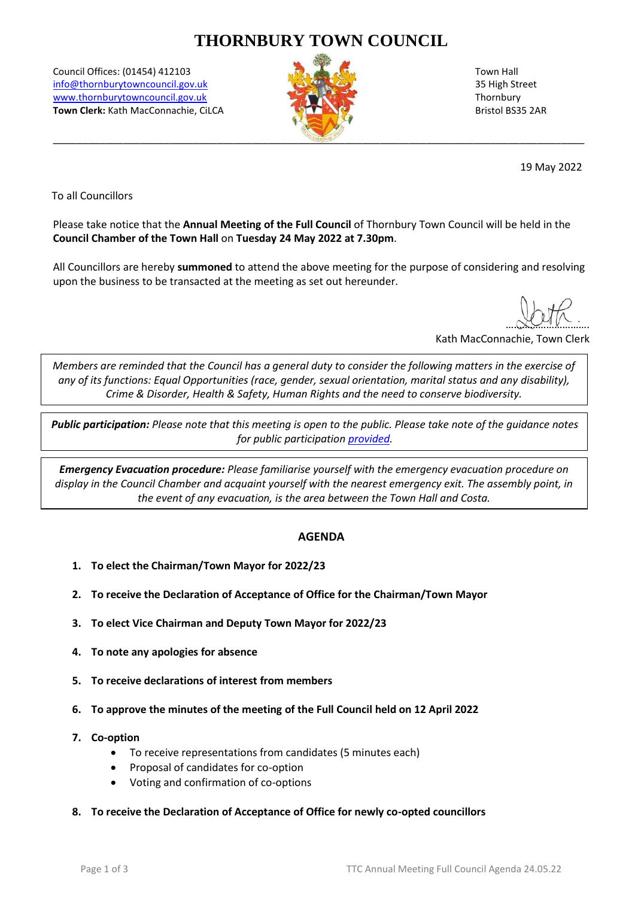# **THORNBURY TOWN COUNCIL**

Council Offices: (01454) 412103 Town Hall [info@thornburytowncouncil.gov.uk](mailto:info@thornburytowncouncil.gov.uk) 35 High Street [www.thornburytowncouncil.gov.uk](http://www.thornburytowncouncil.gov.uk/) Thornbury www.thornburytowncouncil.gov.uk Thornbury **Town Clerk:** Kath MacConnachie, CiLCA Bristol BS35 2AR



19 May 2022

To all Councillors

Please take notice that the **Annual Meeting of the Full Council** of Thornbury Town Council will be held in the **Council Chamber of the Town Hall** on **Tuesday 24 May 2022 at 7.30pm**.

All Councillors are hereby **summoned** to attend the above meeting for the purpose of considering and resolving upon the business to be transacted at the meeting as set out hereunder.

 $N$ 

Kath MacConnachie, Town Clerk

*Members are reminded that the Council has a general duty to consider the following matters in the exercise of any of its functions: Equal Opportunities (race, gender, sexual orientation, marital status and any disability), Crime & Disorder, Health & Safety, Human Rights and the need to conserve biodiversity.*

*Public participation: Please note that this meeting is open to the public. Please take note of the guidance notes for public participatio[n provided.](https://www.thornburytowncouncil.gov.uk/wp-content/uploads/sites/51/2022/05/Meeting-Public-Participation-Guidance_KM_29.03.22.pdf)*

*Emergency Evacuation procedure: Please familiarise yourself with the emergency evacuation procedure on display in the Council Chamber and acquaint yourself with the nearest emergency exit. The assembly point, in the event of any evacuation, is the area between the Town Hall and Costa.*

# **AGENDA**

- **1. To elect the Chairman/Town Mayor for 2022/23**
- **2. To receive the Declaration of Acceptance of Office for the Chairman/Town Mayor**
- **3. To elect Vice Chairman and Deputy Town Mayor for 2022/23**
- **4. To note any apologies for absence**
- **5. To receive declarations of interest from members**
- **6. To approve the minutes of the meeting of the Full Council held on 12 April 2022**
- **7. Co-option**
	- To receive representations from candidates (5 minutes each)
	- Proposal of candidates for co-option
	- Voting and confirmation of co-options
- **8. To receive the Declaration of Acceptance of Office for newly co-opted councillors**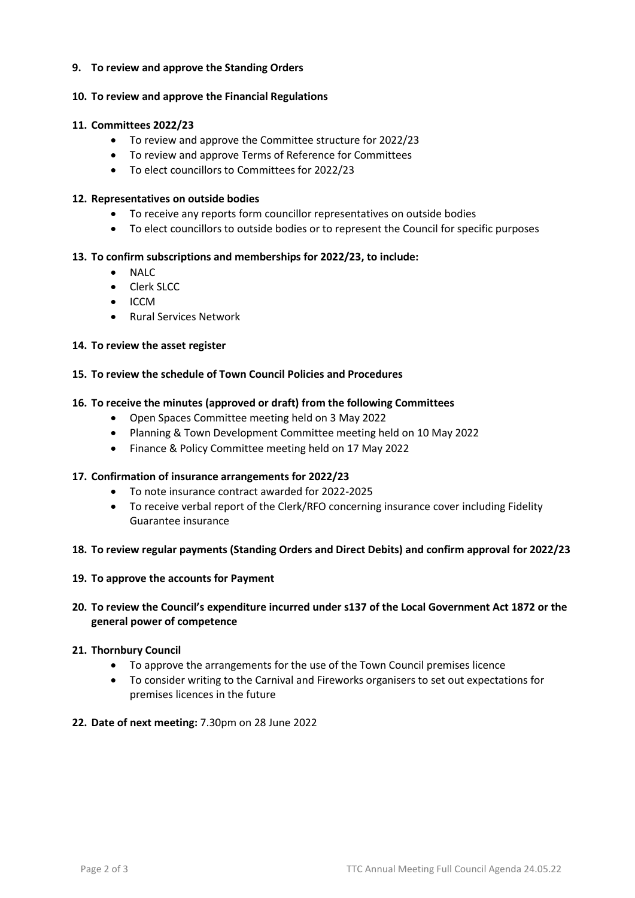### **9. To review and approve the Standing Orders**

# **10. To review and approve the Financial Regulations**

#### **11. Committees 2022/23**

- To review and approve the Committee structure for 2022/23
- To review and approve Terms of Reference for Committees
- To elect councillors to Committees for 2022/23

#### **12. Representatives on outside bodies**

- To receive any reports form councillor representatives on outside bodies
- To elect councillors to outside bodies or to represent the Council for specific purposes

# **13. To confirm subscriptions and memberships for 2022/23, to include:**

- NALC
- Clerk SLCC
- ICCM
- Rural Services Network

#### **14. To review the asset register**

# **15. To review the schedule of Town Council Policies and Procedures**

# **16. To receive the minutes (approved or draft) from the following Committees**

- Open Spaces Committee meeting held on 3 May 2022
- Planning & Town Development Committee meeting held on 10 May 2022
- Finance & Policy Committee meeting held on 17 May 2022

#### **17. Confirmation of insurance arrangements for 2022/23**

- To note insurance contract awarded for 2022-2025
- To receive verbal report of the Clerk/RFO concerning insurance cover including Fidelity Guarantee insurance

#### **18. To review regular payments (Standing Orders and Direct Debits) and confirm approval for 2022/23**

#### **19. To approve the accounts for Payment**

# **20. To review the Council's expenditure incurred under s137 of the Local Government Act 1872 or the general power of competence**

# **21. Thornbury Council**

- To approve the arrangements for the use of the Town Council premises licence
- To consider writing to the Carnival and Fireworks organisers to set out expectations for premises licences in the future
- **22. Date of next meeting:** 7.30pm on 28 June 2022